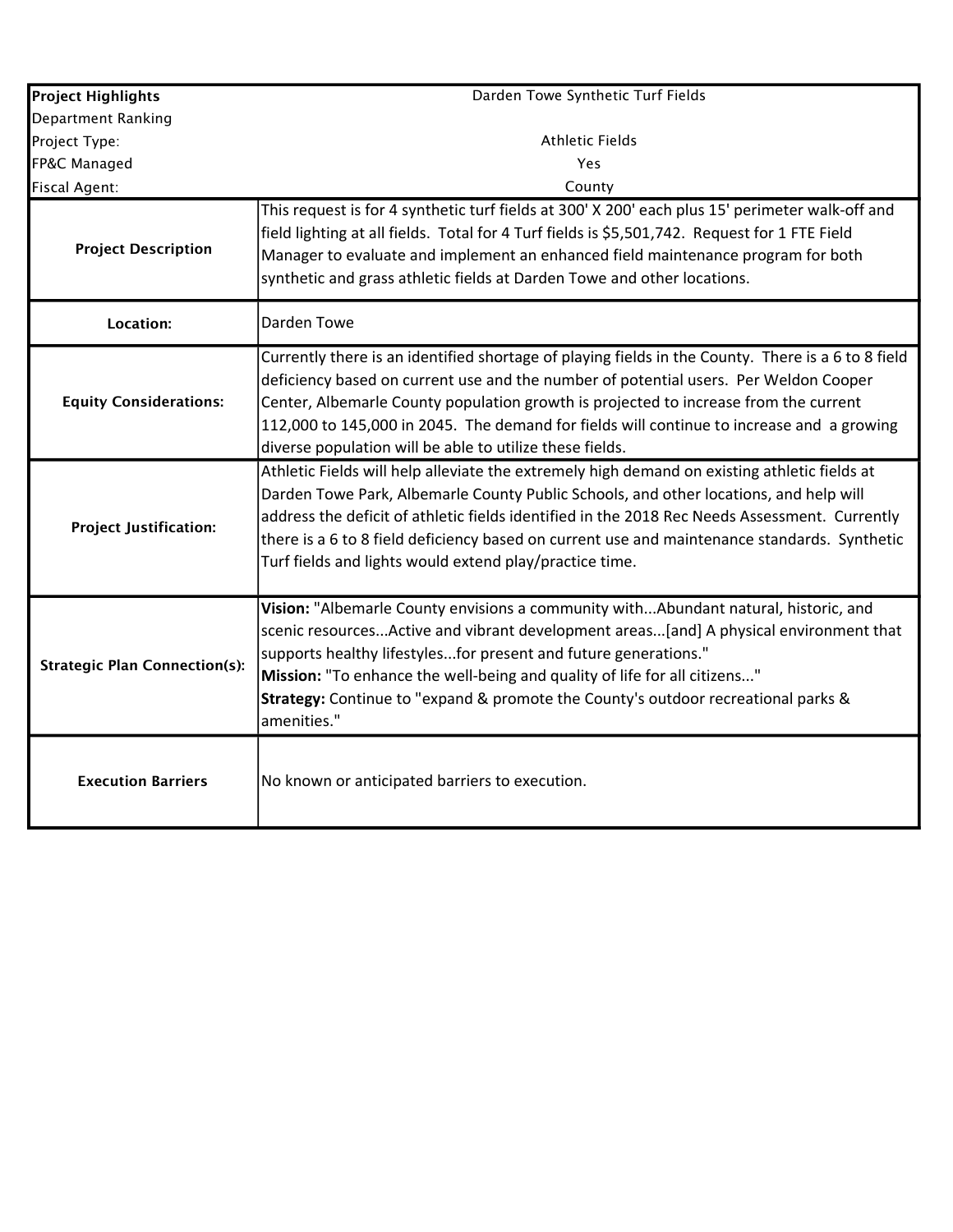| <b>Project Highlights</b>            | Darden Towe Synthetic Turf Fields                                                                                                                                                                                                                                                                                                                                                                                                                 |
|--------------------------------------|---------------------------------------------------------------------------------------------------------------------------------------------------------------------------------------------------------------------------------------------------------------------------------------------------------------------------------------------------------------------------------------------------------------------------------------------------|
| Department Ranking                   |                                                                                                                                                                                                                                                                                                                                                                                                                                                   |
| Project Type:                        | <b>Athletic Fields</b>                                                                                                                                                                                                                                                                                                                                                                                                                            |
| FP&C Managed                         | Yes                                                                                                                                                                                                                                                                                                                                                                                                                                               |
| <b>Fiscal Agent:</b>                 | County                                                                                                                                                                                                                                                                                                                                                                                                                                            |
| <b>Project Description</b>           | This request is for 4 synthetic turf fields at 300' X 200' each plus 15' perimeter walk-off and<br>field lighting at all fields. Total for 4 Turf fields is \$5,501,742. Request for 1 FTE Field<br>Manager to evaluate and implement an enhanced field maintenance program for both<br>synthetic and grass athletic fields at Darden Towe and other locations.                                                                                   |
| Location:                            | Darden Towe                                                                                                                                                                                                                                                                                                                                                                                                                                       |
| <b>Equity Considerations:</b>        | Currently there is an identified shortage of playing fields in the County. There is a 6 to 8 field<br>deficiency based on current use and the number of potential users. Per Weldon Cooper<br>Center, Albemarle County population growth is projected to increase from the current<br>112,000 to 145,000 in 2045. The demand for fields will continue to increase and a growing<br>diverse population will be able to utilize these fields.       |
| <b>Project Justification:</b>        | Athletic Fields will help alleviate the extremely high demand on existing athletic fields at<br>Darden Towe Park, Albemarle County Public Schools, and other locations, and help will<br>address the deficit of athletic fields identified in the 2018 Rec Needs Assessment. Currently<br>there is a 6 to 8 field deficiency based on current use and maintenance standards. Synthetic<br>Turf fields and lights would extend play/practice time. |
| <b>Strategic Plan Connection(s):</b> | Vision: "Albemarle County envisions a community withAbundant natural, historic, and<br>scenic resourcesActive and vibrant development areas[and] A physical environment that<br>supports healthy lifestylesfor present and future generations."<br>Mission: "To enhance the well-being and quality of life for all citizens"<br>Strategy: Continue to "expand & promote the County's outdoor recreational parks &<br>amenities."                  |
| <b>Execution Barriers</b>            | No known or anticipated barriers to execution.                                                                                                                                                                                                                                                                                                                                                                                                    |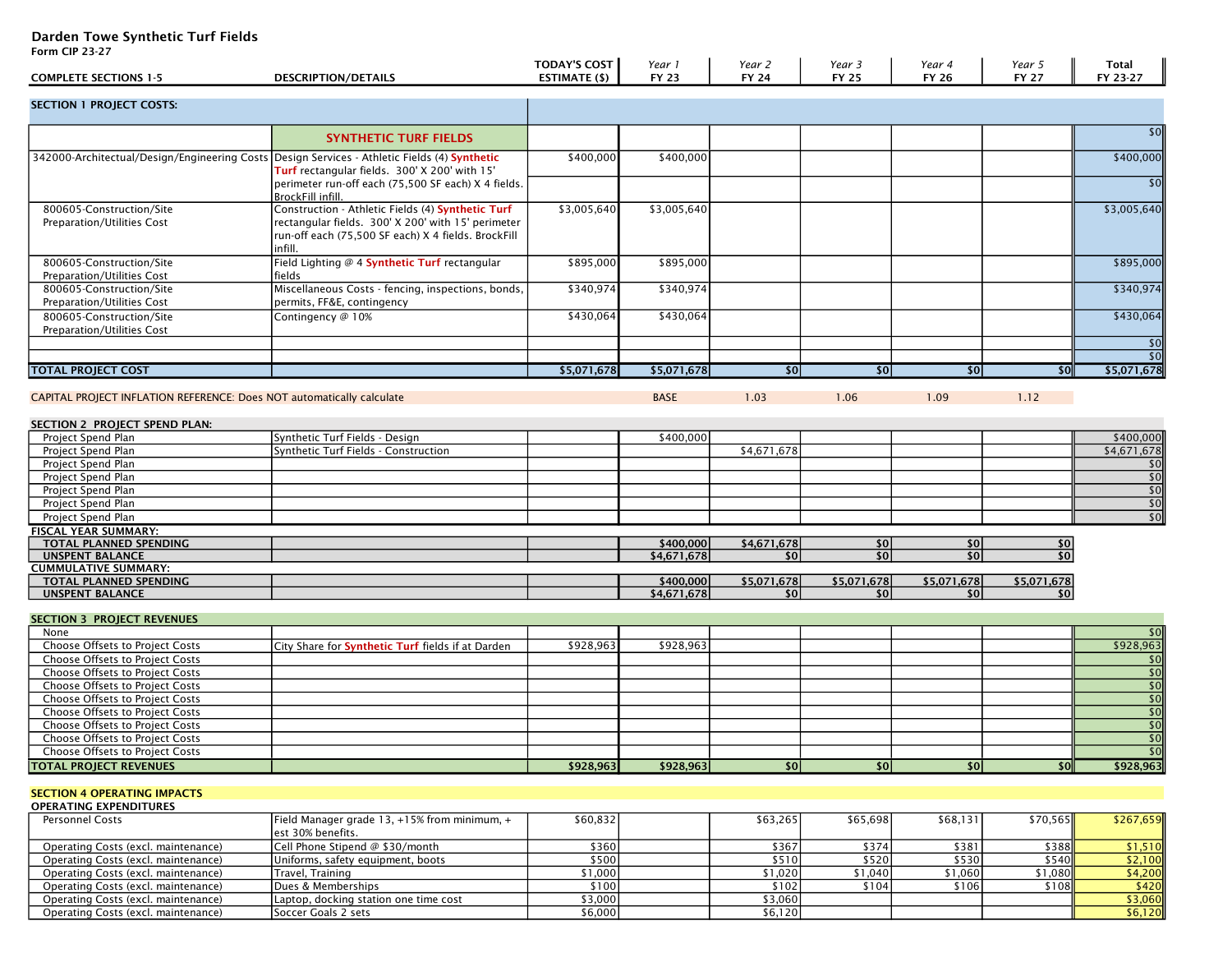## Darden Towe Synthetic Turf Fields

Operating Costs (excl. maintenance) Soccer Goals 2 sets

Form CIP 23-27

|                                                                                              |                                                                        | <b>TODAY'S COST</b> | Year 1       | Year 2             | Year 3        | Year 4       | Year 5          | <b>Total</b>     |
|----------------------------------------------------------------------------------------------|------------------------------------------------------------------------|---------------------|--------------|--------------------|---------------|--------------|-----------------|------------------|
| <b>COMPLETE SECTIONS 1-5</b>                                                                 | <b>DESCRIPTION/DETAILS</b>                                             | ESTIMATE (\$)       | <b>FY 23</b> | <b>FY 24</b>       | <b>FY 25</b>  | <b>FY 26</b> | <b>FY 27</b>    | FY 23-27         |
| <b>SECTION 1 PROJECT COSTS:</b>                                                              |                                                                        |                     |              |                    |               |              |                 |                  |
|                                                                                              |                                                                        |                     |              |                    |               |              |                 |                  |
|                                                                                              | <b>SYNTHETIC TURF FIELDS</b>                                           |                     |              |                    |               |              |                 | \$0              |
| 342000-Architectual/Design/Engineering Costs Design Services - Athletic Fields (4) Synthetic |                                                                        | \$400,000           | \$400,000    |                    |               |              |                 | \$400,000        |
|                                                                                              | Turf rectangular fields. 300' X 200' with 15'                          |                     |              |                    |               |              |                 |                  |
|                                                                                              | perimeter run-off each (75,500 SF each) X 4 fields.                    |                     |              |                    |               |              |                 | \$0              |
| 800605-Construction/Site                                                                     | BrockFill infill.<br>Construction - Athletic Fields (4) Synthetic Turf | \$3,005,640         | \$3,005,640  |                    |               |              |                 | \$3,005,640      |
| Preparation/Utilities Cost                                                                   | rectangular fields. 300' X 200' with 15' perimeter                     |                     |              |                    |               |              |                 |                  |
|                                                                                              | run-off each (75,500 SF each) X 4 fields. BrockFill                    |                     |              |                    |               |              |                 |                  |
|                                                                                              | infill.                                                                |                     |              |                    |               |              |                 |                  |
| 800605-Construction/Site                                                                     | Field Lighting @ 4 Synthetic Turf rectangular                          | \$895,000           | \$895,000    |                    |               |              |                 | \$895,000        |
| Preparation/Utilities Cost                                                                   | fields                                                                 |                     |              |                    |               |              |                 |                  |
| 800605-Construction/Site                                                                     | Miscellaneous Costs - fencing, inspections, bonds,                     | \$340,974           | \$340,974    |                    |               |              |                 | \$340,974        |
| Preparation/Utilities Cost<br>800605-Construction/Site                                       | permits, FF&E, contingency<br>Contingency @ 10%                        |                     |              |                    |               |              |                 | \$430,064        |
| Preparation/Utilities Cost                                                                   |                                                                        | \$430,064           | \$430,064    |                    |               |              |                 |                  |
|                                                                                              |                                                                        |                     |              |                    |               |              |                 | $ $ \$0          |
|                                                                                              |                                                                        |                     |              |                    |               |              |                 | \$0              |
| <b>TOTAL PROJECT COST</b>                                                                    |                                                                        | \$5,071,678         | \$5,071,678  | \$0                | $\frac{1}{2}$ | \$0          | $\frac{1}{2}$   | \$5,071,678      |
|                                                                                              |                                                                        |                     |              |                    |               |              |                 |                  |
| CAPITAL PROJECT INFLATION REFERENCE: Does NOT automatically calculate                        |                                                                        |                     | <b>BASE</b>  | 1.03               | 1.06          | 1.09         | 1.12            |                  |
| SECTION 2 PROJECT SPEND PLAN:                                                                |                                                                        |                     |              |                    |               |              |                 |                  |
| Project Spend Plan                                                                           | Synthetic Turf Fields - Design                                         |                     | \$400,000    |                    |               |              |                 | \$400,000        |
| Project Spend Plan                                                                           | Synthetic Turf Fields - Construction                                   |                     |              | \$4,671,678        |               |              |                 | \$4,671,678      |
| Project Spend Plan                                                                           |                                                                        |                     |              |                    |               |              |                 | \$0]             |
| Project Spend Plan                                                                           |                                                                        |                     |              |                    |               |              |                 | \$0              |
| Project Spend Plan                                                                           |                                                                        |                     |              |                    |               |              |                 | \$0              |
| Project Spend Plan                                                                           |                                                                        |                     |              |                    |               |              |                 | $\overline{50}$  |
| Project Spend Plan                                                                           |                                                                        |                     |              |                    |               |              |                 | 50               |
| FISCAL YEAR SUMMARY:                                                                         |                                                                        |                     |              |                    |               |              |                 |                  |
| TOTAL PLANNED SPENDING                                                                       |                                                                        |                     | \$400,000    | \$4,671,678<br>\$0 | \$0<br>\$0    | \$0<br>50    | \$0<br>50       |                  |
| <b>UNSPENT BALANCE</b><br><b>CUMMULATIVE SUMMARY:</b>                                        |                                                                        |                     | \$4,671,678  |                    |               |              |                 |                  |
| TOTAL PLANNED SPENDING                                                                       |                                                                        |                     | \$400,000    | \$5,071,678        | \$5,071,678   | \$5,071,678  | \$5,071,678     |                  |
| <b>UNSPENT BALANCE</b>                                                                       |                                                                        |                     | \$4,671,678  | \$0                | \$0           | \$0          | \$0             |                  |
|                                                                                              |                                                                        |                     |              |                    |               |              |                 |                  |
| <b>SECTION 3 PROJECT REVENUES</b>                                                            |                                                                        |                     |              |                    |               |              |                 |                  |
| None                                                                                         |                                                                        |                     |              |                    |               |              |                 | \$0              |
| Choose Offsets to Project Costs<br>Choose Offsets to Project Costs                           | City Share for Synthetic Turf fields if at Darden                      | \$928,963           | \$928,963    |                    |               |              |                 | \$928,963<br>\$0 |
| Choose Offsets to Project Costs                                                              |                                                                        |                     |              |                    |               |              |                 | $\overline{50}$  |
| Choose Offsets to Project Costs                                                              |                                                                        |                     |              |                    |               |              |                 | $\overline{50}$  |
| Choose Offsets to Project Costs                                                              |                                                                        |                     |              |                    |               |              |                 | \$0              |
| <b>Choose Offsets to Project Costs</b>                                                       |                                                                        |                     |              |                    |               |              |                 | \$0              |
| Choose Offsets to Project Costs                                                              |                                                                        |                     |              |                    |               |              |                 | $\overline{50}$  |
| Choose Offsets to Project Costs                                                              |                                                                        |                     |              |                    |               |              |                 | 50               |
| <b>Choose Offsets to Project Costs</b>                                                       |                                                                        |                     |              |                    |               |              |                 | 50               |
| <b>TOTAL PROJECT REVENUES</b>                                                                |                                                                        | \$928,963           | \$928,963    | 50                 | \$0           | \$0          | $\overline{30}$ | \$928,963        |
|                                                                                              |                                                                        |                     |              |                    |               |              |                 |                  |
| <b>SECTION 4 OPERATING IMPACTS</b><br><b>OPERATING EXPENDITURES</b>                          |                                                                        |                     |              |                    |               |              |                 |                  |
| <b>Personnel Costs</b>                                                                       | Field Manager grade 13, +15% from minimum, +                           | \$60,832            |              | \$63,265           | \$65,698      | \$68,131     | \$70,565        | \$267,659        |
|                                                                                              | est 30% benefits.                                                      |                     |              |                    |               |              |                 |                  |
| Operating Costs (excl. maintenance)                                                          | Cell Phone Stipend @ \$30/month                                        | \$360               |              | \$367              | \$374         | \$381        | \$388           | \$1,510          |
| Operating Costs (excl. maintenance)                                                          | Uniforms, safety equipment, boots                                      | \$500               |              | \$510              | \$520         | \$530        | \$540           | \$2,100          |
| Operating Costs (excl. maintenance)                                                          | Travel, Training                                                       | \$1,000             |              | \$1,020            | \$1,040       | \$1,060      | \$1,080         | \$4,200          |
| Operating Costs (excl. maintenance)                                                          | Dues & Memberships                                                     | \$100               |              | \$102              | \$104         | \$106        | \$108           | \$420            |

Operating Costs (excl. maintenance) Dues & Memberships \$100 \$102 \$104 \$106 \$108 \$108 \$108 \$108 \$420<br>
Operating Costs (excl. maintenance) Laptop, docking station one time cost \$3,000 \$3,000 \$5,120 \$104 \$106 \$3,060<br>
Operatin

Comparation one time cost and the cost that the cost that the cost of the cost of the cost of the cost of the cost of the cost of the cost of the cost of the cost of the cost of the cost of the cost of the cost of the cost